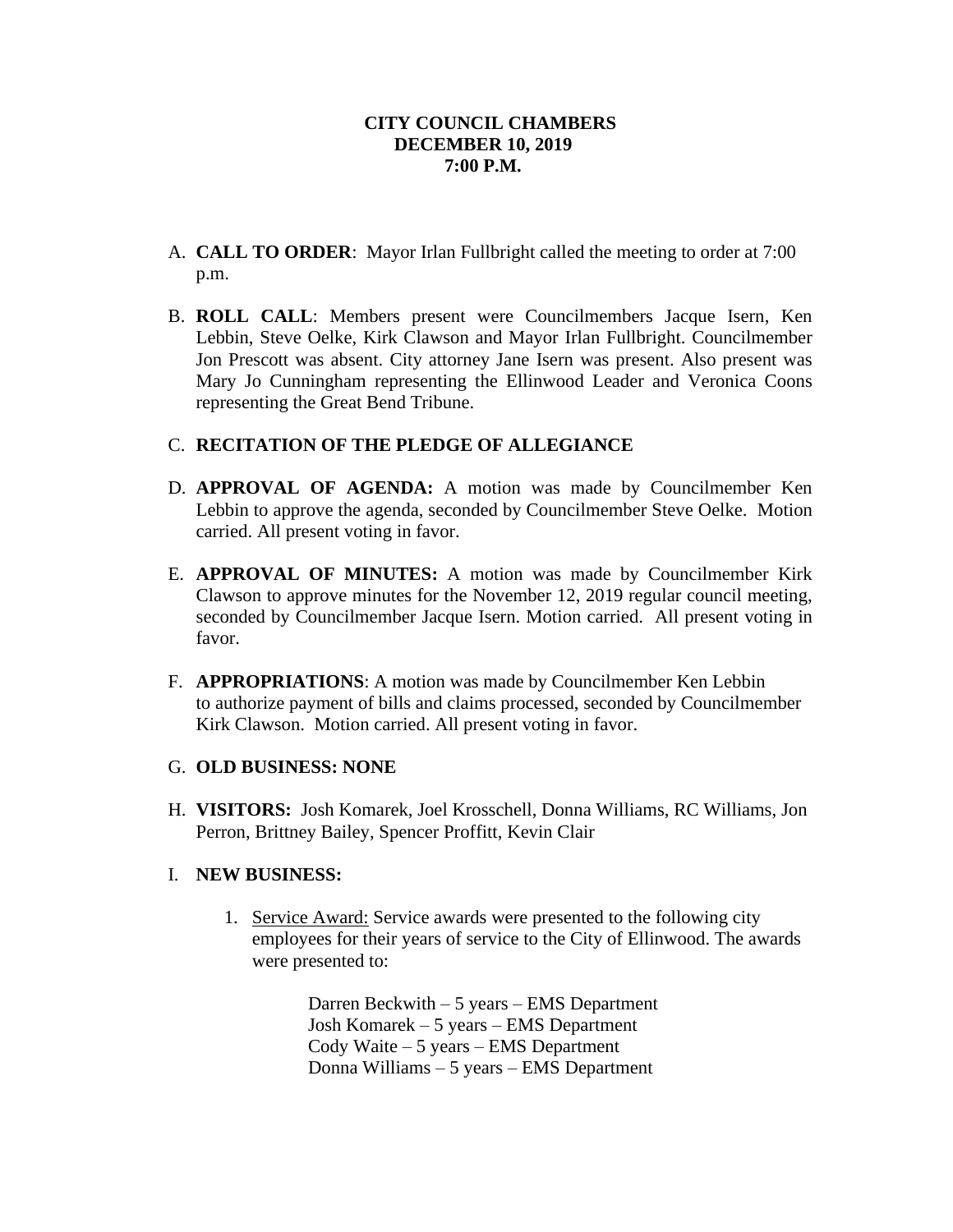- A. **CALL TO ORDER**: Mayor Irlan Fullbright called the meeting to order at 7:00 p.m.
- B. **ROLL CALL**: Members present were Councilmembers Jacque Isern, Ken Lebbin, Steve Oelke, Kirk Clawson and Mayor Irlan Fullbright. Councilmember Jon Prescott was absent. City attorney Jane Isern was present. Also present was Mary Jo Cunningham representing the Ellinwood Leader and Veronica Coons representing the Great Bend Tribune.

# C. **RECITATION OF THE PLEDGE OF ALLEGIANCE**

- D. **APPROVAL OF AGENDA:** A motion was made by Councilmember Ken Lebbin to approve the agenda, seconded by Councilmember Steve Oelke. Motion carried. All present voting in favor.
- E. **APPROVAL OF MINUTES:** A motion was made by Councilmember Kirk Clawson to approve minutes for the November 12, 2019 regular council meeting, seconded by Councilmember Jacque Isern. Motion carried. All present voting in favor.
- F. **APPROPRIATIONS**: A motion was made by Councilmember Ken Lebbin to authorize payment of bills and claims processed, seconded by Councilmember Kirk Clawson. Motion carried. All present voting in favor.

#### G. **OLD BUSINESS: NONE**

H. **VISITORS:** Josh Komarek, Joel Krosschell, Donna Williams, RC Williams, Jon Perron, Brittney Bailey, Spencer Proffitt, Kevin Clair

# I. **NEW BUSINESS:**

1. Service Award: Service awards were presented to the following city employees for their years of service to the City of Ellinwood. The awards were presented to:

> Darren Beckwith – 5 years – EMS Department Josh Komarek – 5 years – EMS Department Cody Waite – 5 years – EMS Department Donna Williams – 5 years – EMS Department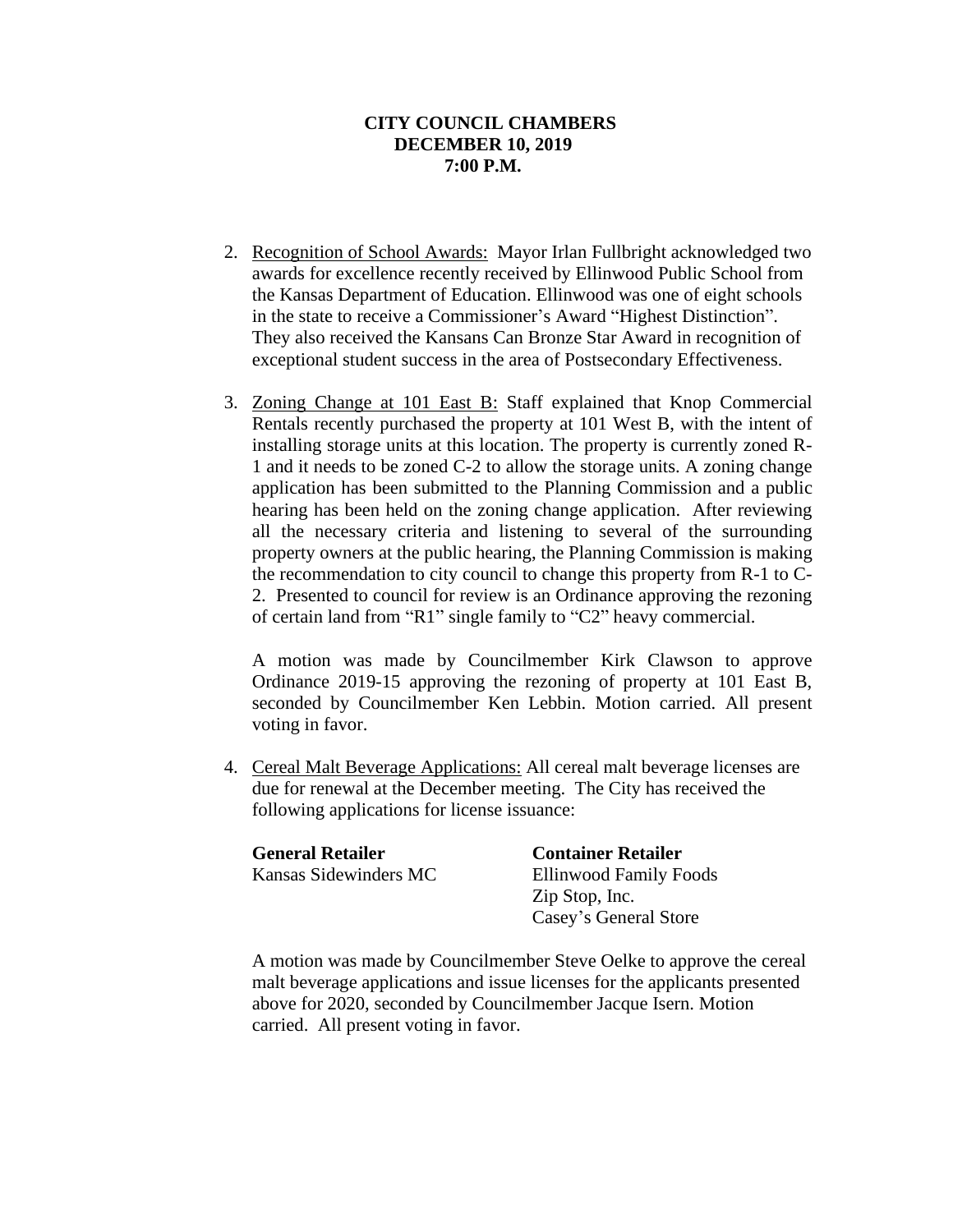- 2. Recognition of School Awards: Mayor Irlan Fullbright acknowledged two awards for excellence recently received by Ellinwood Public School from the Kansas Department of Education. Ellinwood was one of eight schools in the state to receive a Commissioner's Award "Highest Distinction". They also received the Kansans Can Bronze Star Award in recognition of exceptional student success in the area of Postsecondary Effectiveness.
- 3. Zoning Change at 101 East B: Staff explained that Knop Commercial Rentals recently purchased the property at 101 West B, with the intent of installing storage units at this location. The property is currently zoned R-1 and it needs to be zoned C-2 to allow the storage units. A zoning change application has been submitted to the Planning Commission and a public hearing has been held on the zoning change application. After reviewing all the necessary criteria and listening to several of the surrounding property owners at the public hearing, the Planning Commission is making the recommendation to city council to change this property from R-1 to C-2. Presented to council for review is an Ordinance approving the rezoning of certain land from "R1" single family to "C2" heavy commercial.

A motion was made by Councilmember Kirk Clawson to approve Ordinance 2019-15 approving the rezoning of property at 101 East B, seconded by Councilmember Ken Lebbin. Motion carried. All present voting in favor.

4. Cereal Malt Beverage Applications: All cereal malt beverage licenses are due for renewal at the December meeting. The City has received the following applications for license issuance:

| <b>General Retailer</b> | <b>Container Retailer</b> |
|-------------------------|---------------------------|
| Kansas Sidewinders MC   | Ellinwood Family Foods    |
|                         | Zip Stop, Inc.            |
|                         | Casey's General Store     |

A motion was made by Councilmember Steve Oelke to approve the cereal malt beverage applications and issue licenses for the applicants presented above for 2020, seconded by Councilmember Jacque Isern. Motion carried. All present voting in favor.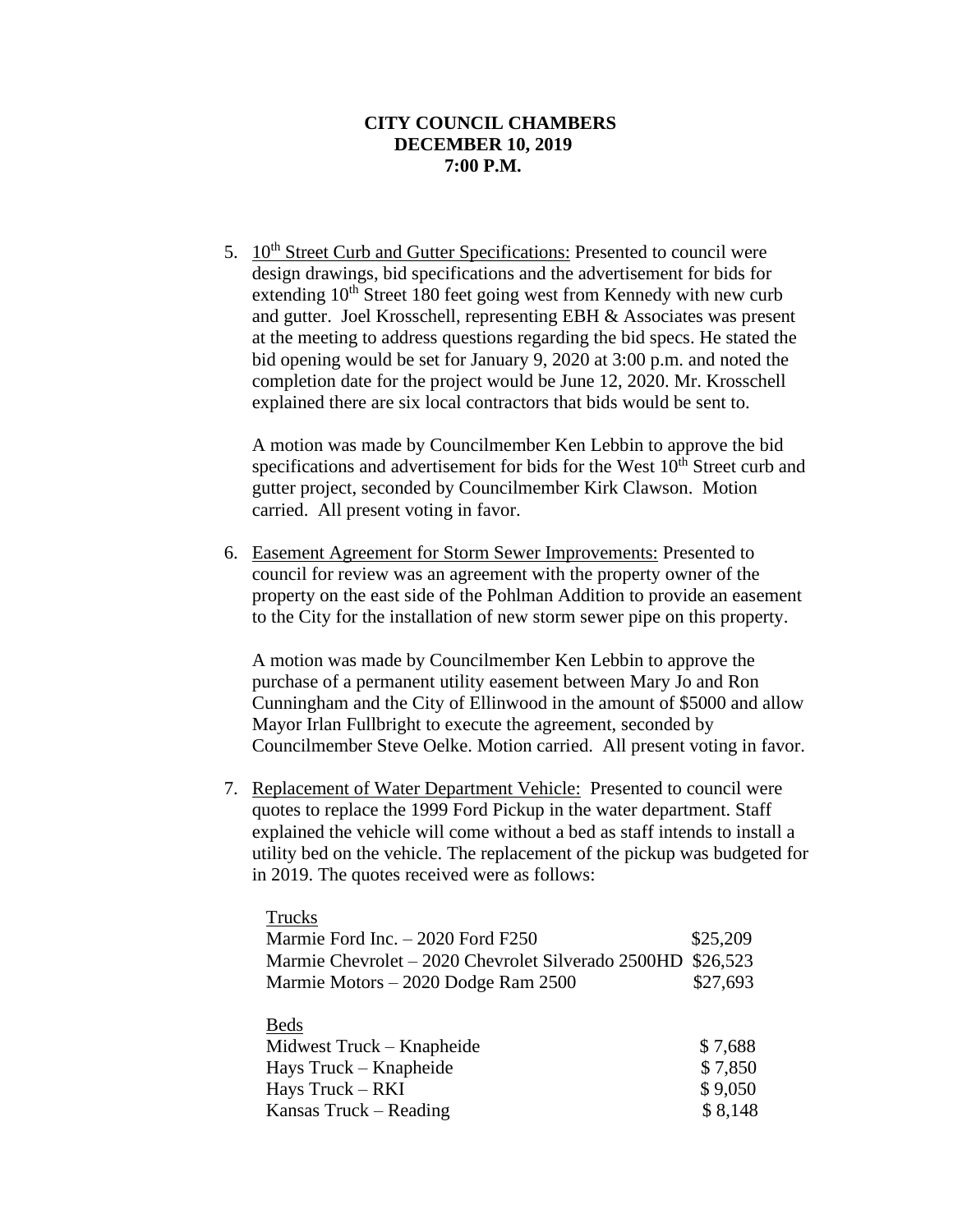5. 10<sup>th</sup> Street Curb and Gutter Specifications: Presented to council were design drawings, bid specifications and the advertisement for bids for extending  $10<sup>th</sup>$  Street 180 feet going west from Kennedy with new curb and gutter. Joel Krosschell, representing EBH & Associates was present at the meeting to address questions regarding the bid specs. He stated the bid opening would be set for January 9, 2020 at 3:00 p.m. and noted the completion date for the project would be June 12, 2020. Mr. Krosschell explained there are six local contractors that bids would be sent to.

A motion was made by Councilmember Ken Lebbin to approve the bid specifications and advertisement for bids for the West  $10<sup>th</sup>$  Street curb and gutter project, seconded by Councilmember Kirk Clawson. Motion carried. All present voting in favor.

6. Easement Agreement for Storm Sewer Improvements: Presented to council for review was an agreement with the property owner of the property on the east side of the Pohlman Addition to provide an easement to the City for the installation of new storm sewer pipe on this property.

A motion was made by Councilmember Ken Lebbin to approve the purchase of a permanent utility easement between Mary Jo and Ron Cunningham and the City of Ellinwood in the amount of \$5000 and allow Mayor Irlan Fullbright to execute the agreement, seconded by Councilmember Steve Oelke. Motion carried. All present voting in favor.

7. Replacement of Water Department Vehicle: Presented to council were quotes to replace the 1999 Ford Pickup in the water department. Staff explained the vehicle will come without a bed as staff intends to install a utility bed on the vehicle. The replacement of the pickup was budgeted for in 2019. The quotes received were as follows:

| Trucks                                             |          |
|----------------------------------------------------|----------|
| Marmie Ford Inc. $-2020$ Ford F250                 | \$25,209 |
| Marmie Chevrolet – 2020 Chevrolet Silverado 2500HD | \$26,523 |
| Marmie Motors – 2020 Dodge Ram 2500                | \$27,693 |
|                                                    |          |
| <b>Beds</b>                                        |          |
| Midwest Truck – Knapheide                          | \$7,688  |
| Hays Truck - Knapheide                             | \$7,850  |
| Hays Truck - RKI                                   | \$9,050  |
| Kansas Truck – Reading                             | \$8,148  |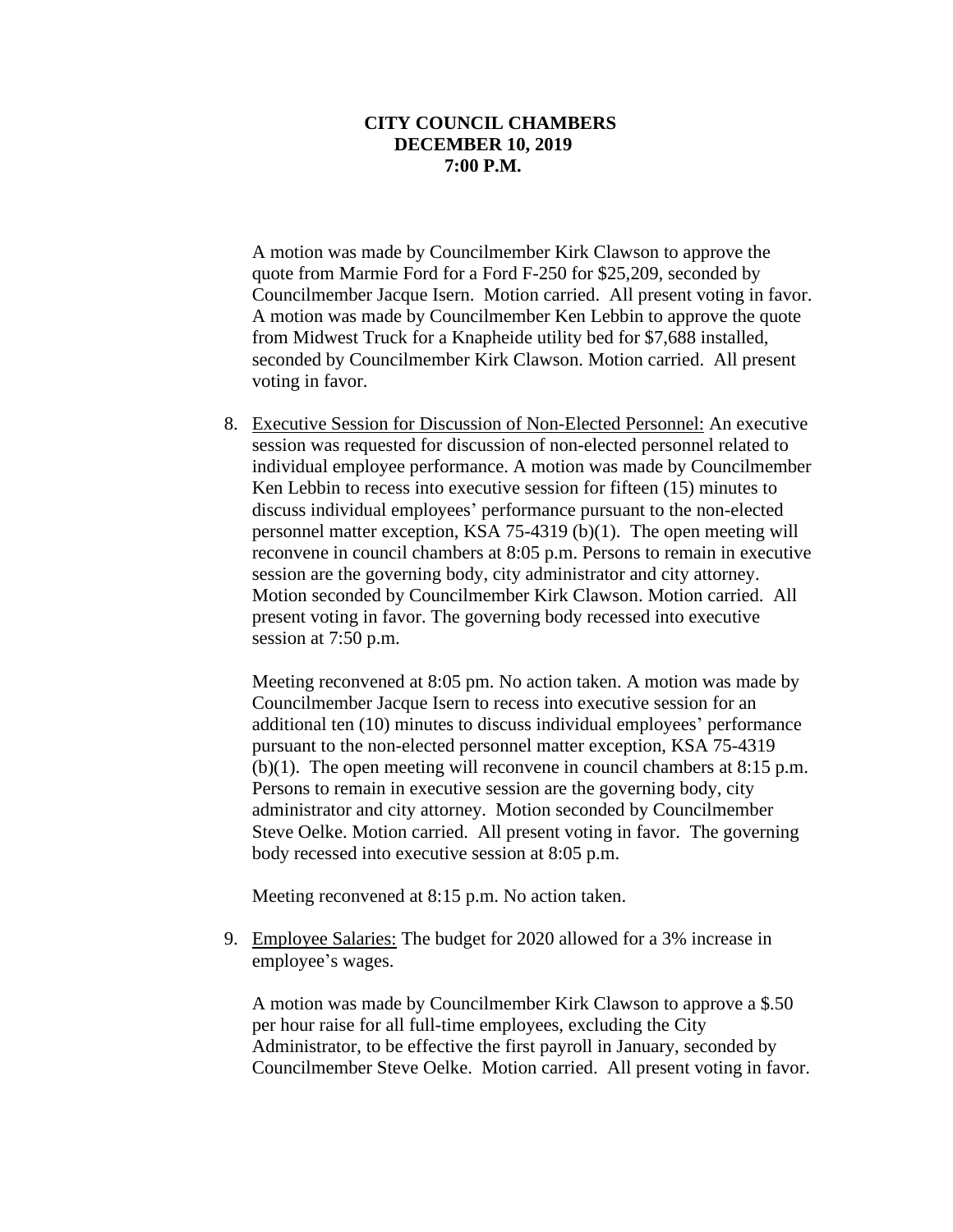A motion was made by Councilmember Kirk Clawson to approve the quote from Marmie Ford for a Ford F-250 for \$25,209, seconded by Councilmember Jacque Isern. Motion carried. All present voting in favor. A motion was made by Councilmember Ken Lebbin to approve the quote from Midwest Truck for a Knapheide utility bed for \$7,688 installed, seconded by Councilmember Kirk Clawson. Motion carried. All present voting in favor.

8. Executive Session for Discussion of Non-Elected Personnel: An executive session was requested for discussion of non-elected personnel related to individual employee performance. A motion was made by Councilmember Ken Lebbin to recess into executive session for fifteen (15) minutes to discuss individual employees' performance pursuant to the non-elected personnel matter exception, KSA 75-4319 (b)(1). The open meeting will reconvene in council chambers at 8:05 p.m. Persons to remain in executive session are the governing body, city administrator and city attorney. Motion seconded by Councilmember Kirk Clawson. Motion carried. All present voting in favor. The governing body recessed into executive session at 7:50 p.m.

Meeting reconvened at 8:05 pm. No action taken. A motion was made by Councilmember Jacque Isern to recess into executive session for an additional ten (10) minutes to discuss individual employees' performance pursuant to the non-elected personnel matter exception, KSA 75-4319 (b)(1). The open meeting will reconvene in council chambers at 8:15 p.m. Persons to remain in executive session are the governing body, city administrator and city attorney. Motion seconded by Councilmember Steve Oelke. Motion carried. All present voting in favor. The governing body recessed into executive session at 8:05 p.m.

Meeting reconvened at 8:15 p.m. No action taken.

9. Employee Salaries: The budget for 2020 allowed for a 3% increase in employee's wages.

A motion was made by Councilmember Kirk Clawson to approve a \$.50 per hour raise for all full-time employees, excluding the City Administrator, to be effective the first payroll in January, seconded by Councilmember Steve Oelke. Motion carried. All present voting in favor.